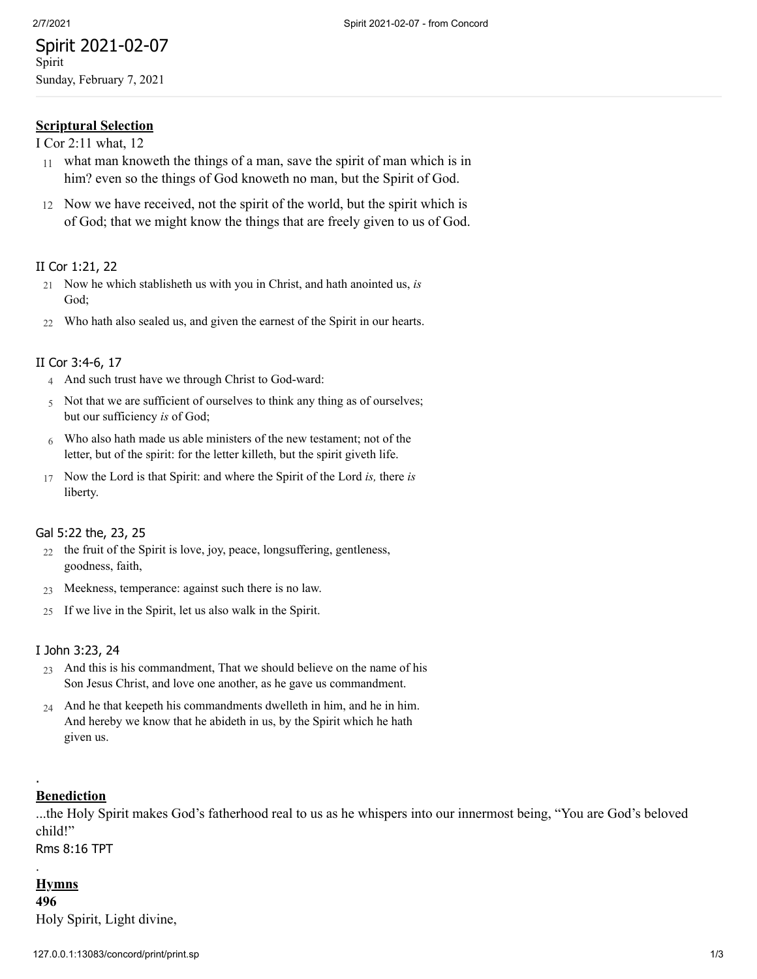# Spirit 2021-02-07 Spirit Sunday, February 7, 2021

**Scriptural Selection**

[I Cor 2:11 what, 12](http://www.concordworks.com/citation/I%20Cor%202:11%20what,%2012)

- 11 what man knoweth the things of a man, save the spirit of man which is in him? even so the things of God knoweth no man, but the Spirit of God.
- 12 Now we have received, not the spirit of the world, but the spirit which is of God; that we might know the things that are freely given to us of God.

## II Cor [1:21,](http://www.concordworks.com/citation/II%20Cor%201:21,%2022) 22

- 21 Now he which stablisheth us with you in Christ, and hath anointed us, *is* God;
- 22 Who hath also sealed us, and given the earnest of the Spirit in our hearts.

## II Cor [3:4-6,](http://www.concordworks.com/citation/II%20Cor%203:4-6,%2017) 17

- 4 And such trust have we through Christ to God-ward:
- 5 Not that we are sufficient of ourselves to think any thing as of ourselves; but our sufficiency *is* of God;
- 6 Who also hath made us able ministers of the new testament; not of the letter, but of the spirit: for the letter killeth, but the spirit giveth life.
- 17 Now the Lord is that Spirit: and where the Spirit of the Lord *is,* there *is* liberty.

### Gal [5:22](http://www.concordworks.com/citation/Gal%205:22%20the,%2023,%2025) the, 23, 25

- 22 the fruit of the Spirit is love, joy, peace, longsuffering, gentleness, goodness, faith,
- 23 Meekness, temperance: against such there is no law.
- 25 If we live in the Spirit, let us also walk in the Spirit.

### I John [3:23,](http://www.concordworks.com/citation/I%20John%203:23,%2024) 24

- 23 And this is his commandment, That we should believe on the name of his Son Jesus Christ, and love one another, as he gave us commandment.
- 24 And he that keepeth his commandments dwelleth in him, and he in him. And hereby we know that he abideth in us, by the Spirit which he hath given us.

## **Benediction**

.

...the Holy Spirit makes God's fatherhood real to us as he whispers into our innermost being, "You are God's beloved child!"

Rms 8:16 TPT

# . **Hymns**

**496** Holy Spirit, Light divine,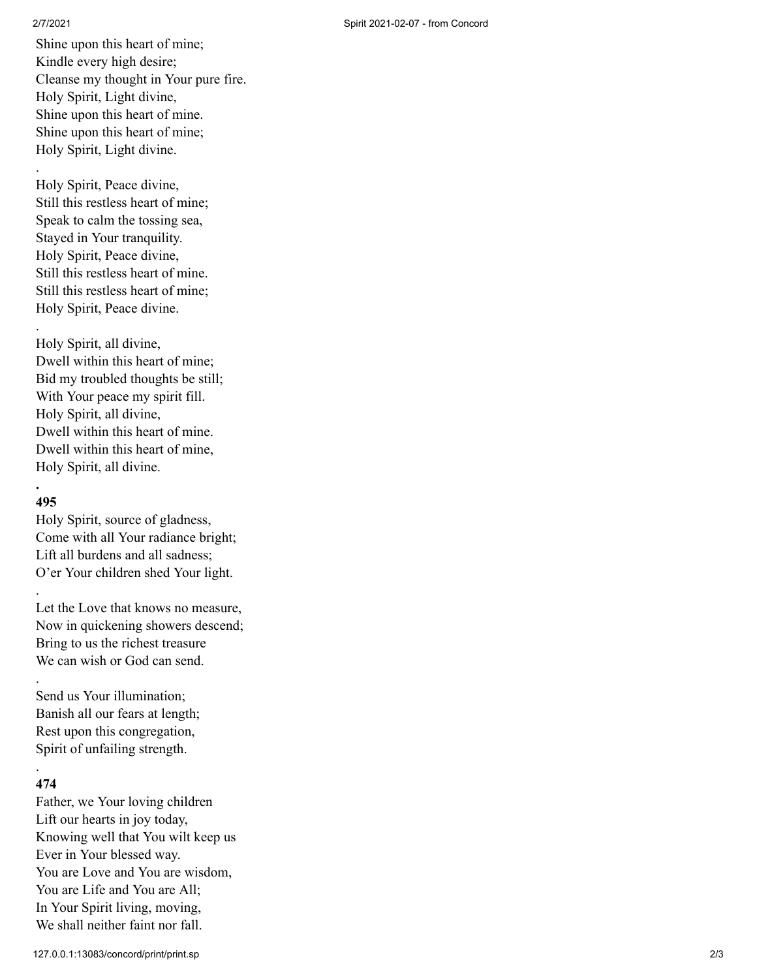.

.

Shine upon this heart of mine; Kindle every high desire; Cleanse my thought in Your pure fire. Holy Spirit, Light divine, Shine upon this heart of mine. Shine upon this heart of mine; Holy Spirit, Light divine.

Holy Spirit, Peace divine, Still this restless heart of mine; Speak to calm the tossing sea, Stayed in Your tranquility. Holy Spirit, Peace divine, Still this restless heart of mine. Still this restless heart of mine; Holy Spirit, Peace divine.

Holy Spirit, all divine, Dwell within this heart of mine; Bid my troubled thoughts be still; With Your peace my spirit fill. Holy Spirit, all divine, Dwell within this heart of mine. Dwell within this heart of mine, Holy Spirit, all divine.

## **. 495**

.

.

Holy Spirit, source of gladness, Come with all Your radiance bright; Lift all burdens and all sadness; O'er Your children shed Your light.

Let the Love that knows no measure, Now in quickening showers descend; Bring to us the richest treasure We can wish or God can send.

Send us Your illumination; Banish all our fears at length; Rest upon this congregation, Spirit of unfailing strength.

# . **474**

Father, we Your loving children Lift our hearts in joy today , Knowing well that You wilt keep us Ever in Your blessed way. You are Love and You are wisdom, You are Life and You are All; In Your Spirit living, moving, We shall neither faint nor fall.